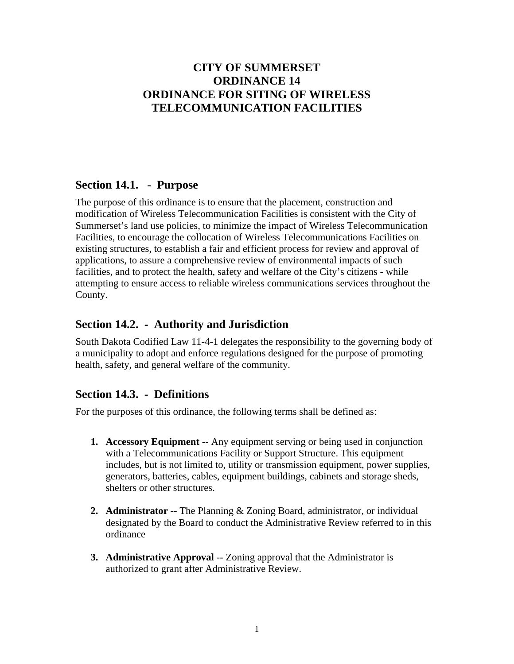# **CITY OF SUMMERSET ORDINANCE 14 ORDINANCE FOR SITING OF WIRELESS TELECOMMUNICATION FACILITIES**

## **Section 14.1. - Purpose**

The purpose of this ordinance is to ensure that the placement, construction and modification of Wireless Telecommunication Facilities is consistent with the City of Summerset's land use policies, to minimize the impact of Wireless Telecommunication Facilities, to encourage the collocation of Wireless Telecommunications Facilities on existing structures, to establish a fair and efficient process for review and approval of applications, to assure a comprehensive review of environmental impacts of such facilities, and to protect the health, safety and welfare of the City's citizens - while attempting to ensure access to reliable wireless communications services throughout the County.

# **Section 14.2. - Authority and Jurisdiction**

South Dakota Codified Law 11-4-1 delegates the responsibility to the governing body of a municipality to adopt and enforce regulations designed for the purpose of promoting health, safety, and general welfare of the community.

# **Section 14.3. - Definitions**

For the purposes of this ordinance, the following terms shall be defined as:

- **1. Accessory Equipment** -- Any equipment serving or being used in conjunction with a Telecommunications Facility or Support Structure. This equipment includes, but is not limited to, utility or transmission equipment, power supplies, generators, batteries, cables, equipment buildings, cabinets and storage sheds, shelters or other structures.
- **2. Administrator** -- The Planning & Zoning Board, administrator, or individual designated by the Board to conduct the Administrative Review referred to in this ordinance
- **3. Administrative Approval** -- Zoning approval that the Administrator is authorized to grant after Administrative Review.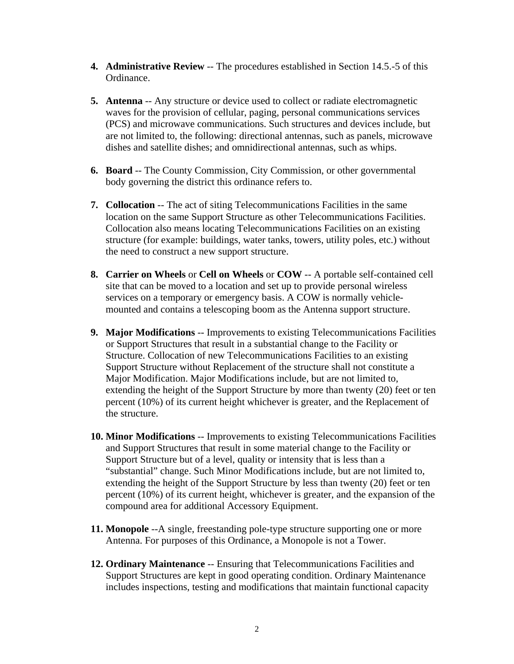- **4. Administrative Review** -- The procedures established in Section 14.5.-5 of this Ordinance.
- **5. Antenna** -- Any structure or device used to collect or radiate electromagnetic waves for the provision of cellular, paging, personal communications services (PCS) and microwave communications. Such structures and devices include, but are not limited to, the following: directional antennas, such as panels, microwave dishes and satellite dishes; and omnidirectional antennas, such as whips.
- **6. Board** -- The County Commission, City Commission, or other governmental body governing the district this ordinance refers to.
- **7. Collocation** -- The act of siting Telecommunications Facilities in the same location on the same Support Structure as other Telecommunications Facilities. Collocation also means locating Telecommunications Facilities on an existing structure (for example: buildings, water tanks, towers, utility poles, etc.) without the need to construct a new support structure.
- **8. Carrier on Wheels** or **Cell on Wheels** or **COW** -- A portable self-contained cell site that can be moved to a location and set up to provide personal wireless services on a temporary or emergency basis. A COW is normally vehiclemounted and contains a telescoping boom as the Antenna support structure.
- **9. Major Modifications** -- Improvements to existing Telecommunications Facilities or Support Structures that result in a substantial change to the Facility or Structure. Collocation of new Telecommunications Facilities to an existing Support Structure without Replacement of the structure shall not constitute a Major Modification. Major Modifications include, but are not limited to, extending the height of the Support Structure by more than twenty (20) feet or ten percent (10%) of its current height whichever is greater, and the Replacement of the structure.
- **10. Minor Modifications** -- Improvements to existing Telecommunications Facilities and Support Structures that result in some material change to the Facility or Support Structure but of a level, quality or intensity that is less than a "substantial" change. Such Minor Modifications include, but are not limited to, extending the height of the Support Structure by less than twenty (20) feet or ten percent (10%) of its current height, whichever is greater, and the expansion of the compound area for additional Accessory Equipment.
- **11. Monopole** --A single, freestanding pole-type structure supporting one or more Antenna. For purposes of this Ordinance, a Monopole is not a Tower.
- **12. Ordinary Maintenance** -- Ensuring that Telecommunications Facilities and Support Structures are kept in good operating condition. Ordinary Maintenance includes inspections, testing and modifications that maintain functional capacity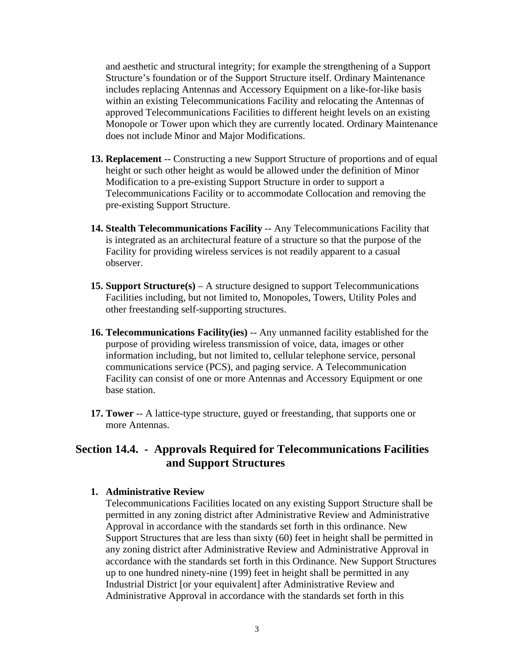and aesthetic and structural integrity; for example the strengthening of a Support Structure's foundation or of the Support Structure itself. Ordinary Maintenance includes replacing Antennas and Accessory Equipment on a like-for-like basis within an existing Telecommunications Facility and relocating the Antennas of approved Telecommunications Facilities to different height levels on an existing Monopole or Tower upon which they are currently located. Ordinary Maintenance does not include Minor and Major Modifications.

- **13. Replacement** -- Constructing a new Support Structure of proportions and of equal height or such other height as would be allowed under the definition of Minor Modification to a pre-existing Support Structure in order to support a Telecommunications Facility or to accommodate Collocation and removing the pre-existing Support Structure.
- **14. Stealth Telecommunications Facility** -- Any Telecommunications Facility that is integrated as an architectural feature of a structure so that the purpose of the Facility for providing wireless services is not readily apparent to a casual observer.
- **15. Support Structure(s)** A structure designed to support Telecommunications Facilities including, but not limited to, Monopoles, Towers, Utility Poles and other freestanding self-supporting structures.
- **16. Telecommunications Facility(ies)** -- Any unmanned facility established for the purpose of providing wireless transmission of voice, data, images or other information including, but not limited to, cellular telephone service, personal communications service (PCS), and paging service. A Telecommunication Facility can consist of one or more Antennas and Accessory Equipment or one base station.
- **17. Tower** -- A lattice-type structure, guyed or freestanding, that supports one or more Antennas.

## **Section 14.4. - Approvals Required for Telecommunications Facilities and Support Structures**

#### **1. Administrative Review**

Telecommunications Facilities located on any existing Support Structure shall be permitted in any zoning district after Administrative Review and Administrative Approval in accordance with the standards set forth in this ordinance. New Support Structures that are less than sixty (60) feet in height shall be permitted in any zoning district after Administrative Review and Administrative Approval in accordance with the standards set forth in this Ordinance. New Support Structures up to one hundred ninety-nine (199) feet in height shall be permitted in any Industrial District [or your equivalent] after Administrative Review and Administrative Approval in accordance with the standards set forth in this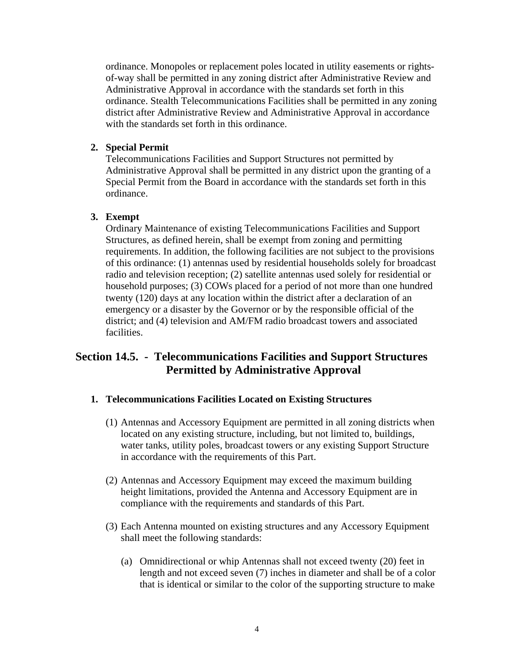ordinance. Monopoles or replacement poles located in utility easements or rightsof-way shall be permitted in any zoning district after Administrative Review and Administrative Approval in accordance with the standards set forth in this ordinance. Stealth Telecommunications Facilities shall be permitted in any zoning district after Administrative Review and Administrative Approval in accordance with the standards set forth in this ordinance.

## **2. Special Permit**

Telecommunications Facilities and Support Structures not permitted by Administrative Approval shall be permitted in any district upon the granting of a Special Permit from the Board in accordance with the standards set forth in this ordinance.

#### **3. Exempt**

Ordinary Maintenance of existing Telecommunications Facilities and Support Structures, as defined herein, shall be exempt from zoning and permitting requirements. In addition, the following facilities are not subject to the provisions of this ordinance: (1) antennas used by residential households solely for broadcast radio and television reception; (2) satellite antennas used solely for residential or household purposes; (3) COWs placed for a period of not more than one hundred twenty (120) days at any location within the district after a declaration of an emergency or a disaster by the Governor or by the responsible official of the district; and (4) television and AM/FM radio broadcast towers and associated facilities.

## **Section 14.5. - Telecommunications Facilities and Support Structures Permitted by Administrative Approval**

#### **1. Telecommunications Facilities Located on Existing Structures**

- (1) Antennas and Accessory Equipment are permitted in all zoning districts when located on any existing structure, including, but not limited to, buildings, water tanks, utility poles, broadcast towers or any existing Support Structure in accordance with the requirements of this Part.
- (2) Antennas and Accessory Equipment may exceed the maximum building height limitations, provided the Antenna and Accessory Equipment are in compliance with the requirements and standards of this Part.
- (3) Each Antenna mounted on existing structures and any Accessory Equipment shall meet the following standards:
	- (a) Omnidirectional or whip Antennas shall not exceed twenty (20) feet in length and not exceed seven (7) inches in diameter and shall be of a color that is identical or similar to the color of the supporting structure to make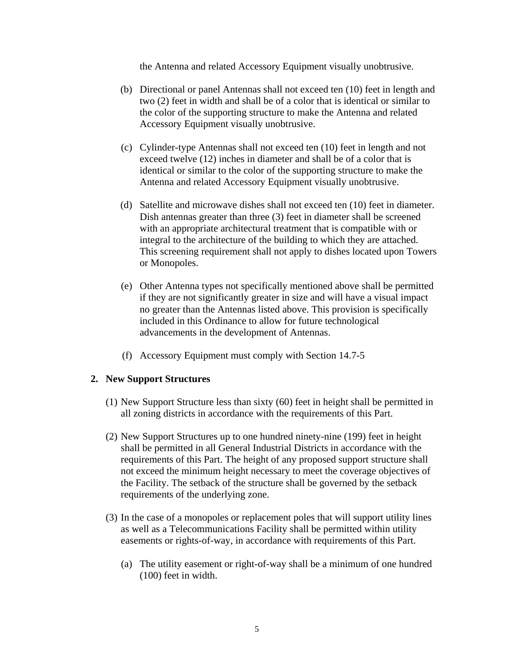the Antenna and related Accessory Equipment visually unobtrusive.

- (b) Directional or panel Antennas shall not exceed ten (10) feet in length and two (2) feet in width and shall be of a color that is identical or similar to the color of the supporting structure to make the Antenna and related Accessory Equipment visually unobtrusive.
- (c) Cylinder-type Antennas shall not exceed ten (10) feet in length and not exceed twelve (12) inches in diameter and shall be of a color that is identical or similar to the color of the supporting structure to make the Antenna and related Accessory Equipment visually unobtrusive.
- (d) Satellite and microwave dishes shall not exceed ten (10) feet in diameter. Dish antennas greater than three (3) feet in diameter shall be screened with an appropriate architectural treatment that is compatible with or integral to the architecture of the building to which they are attached. This screening requirement shall not apply to dishes located upon Towers or Monopoles.
- (e) Other Antenna types not specifically mentioned above shall be permitted if they are not significantly greater in size and will have a visual impact no greater than the Antennas listed above. This provision is specifically included in this Ordinance to allow for future technological advancements in the development of Antennas.
- (f) Accessory Equipment must comply with Section 14.7-5

#### **2. New Support Structures**

- (1) New Support Structure less than sixty (60) feet in height shall be permitted in all zoning districts in accordance with the requirements of this Part.
- (2) New Support Structures up to one hundred ninety-nine (199) feet in height shall be permitted in all General Industrial Districts in accordance with the requirements of this Part. The height of any proposed support structure shall not exceed the minimum height necessary to meet the coverage objectives of the Facility. The setback of the structure shall be governed by the setback requirements of the underlying zone.
- (3) In the case of a monopoles or replacement poles that will support utility lines as well as a Telecommunications Facility shall be permitted within utility easements or rights-of-way, in accordance with requirements of this Part.
	- (a) The utility easement or right-of-way shall be a minimum of one hundred (100) feet in width.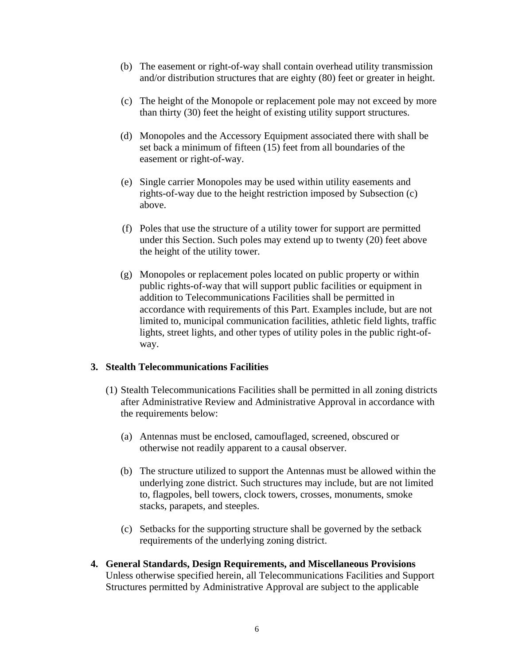- (b) The easement or right-of-way shall contain overhead utility transmission and/or distribution structures that are eighty (80) feet or greater in height.
- (c) The height of the Monopole or replacement pole may not exceed by more than thirty (30) feet the height of existing utility support structures.
- (d) Monopoles and the Accessory Equipment associated there with shall be set back a minimum of fifteen (15) feet from all boundaries of the easement or right-of-way.
- (e) Single carrier Monopoles may be used within utility easements and rights-of-way due to the height restriction imposed by Subsection (c) above.
- (f) Poles that use the structure of a utility tower for support are permitted under this Section. Such poles may extend up to twenty (20) feet above the height of the utility tower.
- (g) Monopoles or replacement poles located on public property or within public rights-of-way that will support public facilities or equipment in addition to Telecommunications Facilities shall be permitted in accordance with requirements of this Part. Examples include, but are not limited to, municipal communication facilities, athletic field lights, traffic lights, street lights, and other types of utility poles in the public right-ofway.

#### **3. Stealth Telecommunications Facilities**

- (1) Stealth Telecommunications Facilities shall be permitted in all zoning districts after Administrative Review and Administrative Approval in accordance with the requirements below:
	- (a) Antennas must be enclosed, camouflaged, screened, obscured or otherwise not readily apparent to a causal observer.
	- (b) The structure utilized to support the Antennas must be allowed within the underlying zone district. Such structures may include, but are not limited to, flagpoles, bell towers, clock towers, crosses, monuments, smoke stacks, parapets, and steeples.
	- (c) Setbacks for the supporting structure shall be governed by the setback requirements of the underlying zoning district.
- **4. General Standards, Design Requirements, and Miscellaneous Provisions**  Unless otherwise specified herein, all Telecommunications Facilities and Support Structures permitted by Administrative Approval are subject to the applicable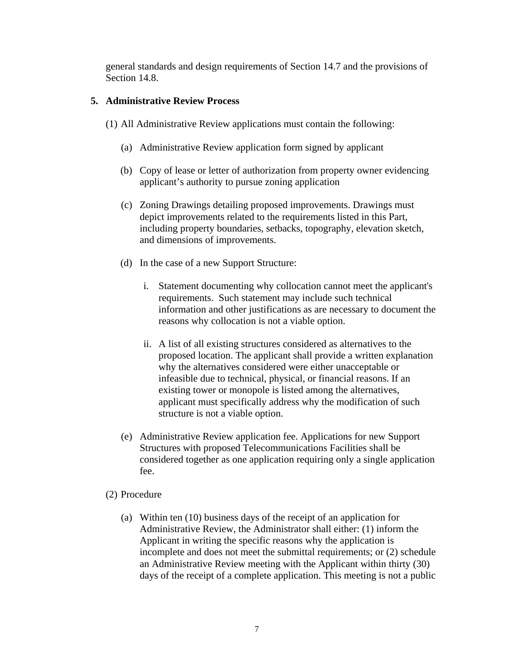general standards and design requirements of Section 14.7 and the provisions of Section 14.8.

## **5. Administrative Review Process**

- (1) All Administrative Review applications must contain the following:
	- (a) Administrative Review application form signed by applicant
	- (b) Copy of lease or letter of authorization from property owner evidencing applicant's authority to pursue zoning application
	- (c) Zoning Drawings detailing proposed improvements. Drawings must depict improvements related to the requirements listed in this Part, including property boundaries, setbacks, topography, elevation sketch, and dimensions of improvements.
	- (d) In the case of a new Support Structure:
		- i. Statement documenting why collocation cannot meet the applicant's requirements. Such statement may include such technical information and other justifications as are necessary to document the reasons why collocation is not a viable option.
		- ii. A list of all existing structures considered as alternatives to the proposed location. The applicant shall provide a written explanation why the alternatives considered were either unacceptable or infeasible due to technical, physical, or financial reasons. If an existing tower or monopole is listed among the alternatives, applicant must specifically address why the modification of such structure is not a viable option.
	- (e) Administrative Review application fee. Applications for new Support Structures with proposed Telecommunications Facilities shall be considered together as one application requiring only a single application fee.
- (2) Procedure
	- (a) Within ten (10) business days of the receipt of an application for Administrative Review, the Administrator shall either: (1) inform the Applicant in writing the specific reasons why the application is incomplete and does not meet the submittal requirements; or (2) schedule an Administrative Review meeting with the Applicant within thirty (30) days of the receipt of a complete application. This meeting is not a public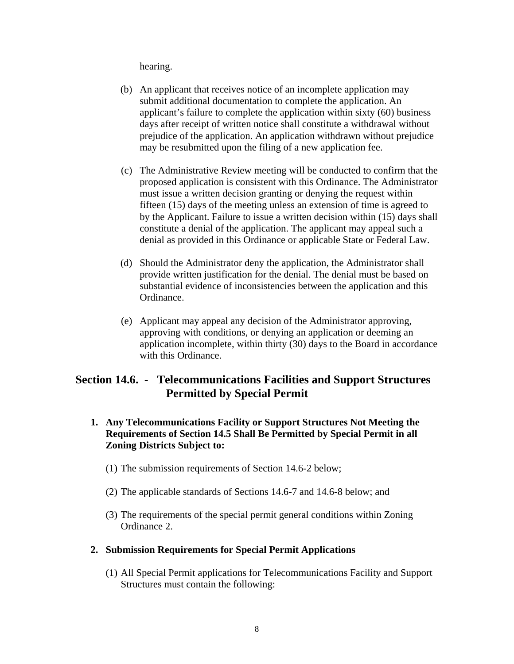hearing.

- (b) An applicant that receives notice of an incomplete application may submit additional documentation to complete the application. An applicant's failure to complete the application within sixty (60) business days after receipt of written notice shall constitute a withdrawal without prejudice of the application. An application withdrawn without prejudice may be resubmitted upon the filing of a new application fee.
- (c) The Administrative Review meeting will be conducted to confirm that the proposed application is consistent with this Ordinance. The Administrator must issue a written decision granting or denying the request within fifteen (15) days of the meeting unless an extension of time is agreed to by the Applicant. Failure to issue a written decision within (15) days shall constitute a denial of the application. The applicant may appeal such a denial as provided in this Ordinance or applicable State or Federal Law.
- (d) Should the Administrator deny the application, the Administrator shall provide written justification for the denial. The denial must be based on substantial evidence of inconsistencies between the application and this Ordinance.
- (e) Applicant may appeal any decision of the Administrator approving, approving with conditions, or denying an application or deeming an application incomplete, within thirty (30) days to the Board in accordance with this Ordinance.

# **Section 14.6. - Telecommunications Facilities and Support Structures Permitted by Special Permit**

- **1. Any Telecommunications Facility or Support Structures Not Meeting the Requirements of Section 14.5 Shall Be Permitted by Special Permit in all Zoning Districts Subject to:** 
	- (1) The submission requirements of Section 14.6-2 below;
	- (2) The applicable standards of Sections 14.6-7 and 14.6-8 below; and
	- (3) The requirements of the special permit general conditions within Zoning Ordinance 2.

#### **2. Submission Requirements for Special Permit Applications**

(1) All Special Permit applications for Telecommunications Facility and Support Structures must contain the following: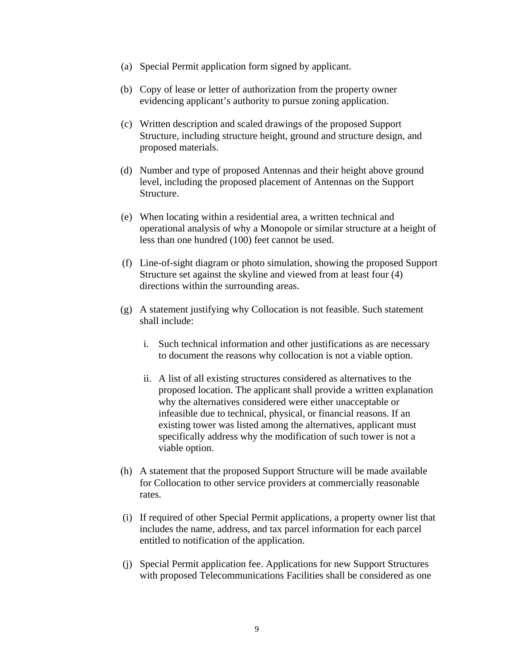- (a) Special Permit application form signed by applicant.
- (b) Copy of lease or letter of authorization from the property owner evidencing applicant's authority to pursue zoning application.
- (c) Written description and scaled drawings of the proposed Support Structure, including structure height, ground and structure design, and proposed materials.
- (d) Number and type of proposed Antennas and their height above ground level, including the proposed placement of Antennas on the Support Structure.
- (e) When locating within a residential area, a written technical and operational analysis of why a Monopole or similar structure at a height of less than one hundred (100) feet cannot be used.
- (f) Line-of-sight diagram or photo simulation, showing the proposed Support Structure set against the skyline and viewed from at least four (4) directions within the surrounding areas.
- (g) A statement justifying why Collocation is not feasible. Such statement shall include:
	- i. Such technical information and other justifications as are necessary to document the reasons why collocation is not a viable option.
	- ii. A list of all existing structures considered as alternatives to the proposed location. The applicant shall provide a written explanation why the alternatives considered were either unacceptable or infeasible due to technical, physical, or financial reasons. If an existing tower was listed among the alternatives, applicant must specifically address why the modification of such tower is not a viable option.
- (h) A statement that the proposed Support Structure will be made available for Collocation to other service providers at commercially reasonable rates.
- (i) If required of other Special Permit applications, a property owner list that includes the name, address, and tax parcel information for each parcel entitled to notification of the application.
- (j) Special Permit application fee. Applications for new Support Structures with proposed Telecommunications Facilities shall be considered as one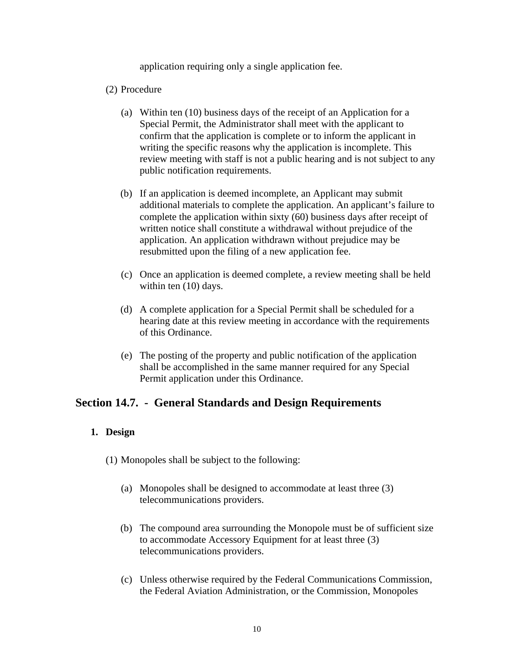application requiring only a single application fee.

#### (2) Procedure

- (a) Within ten (10) business days of the receipt of an Application for a Special Permit, the Administrator shall meet with the applicant to confirm that the application is complete or to inform the applicant in writing the specific reasons why the application is incomplete. This review meeting with staff is not a public hearing and is not subject to any public notification requirements.
- (b) If an application is deemed incomplete, an Applicant may submit additional materials to complete the application. An applicant's failure to complete the application within sixty (60) business days after receipt of written notice shall constitute a withdrawal without prejudice of the application. An application withdrawn without prejudice may be resubmitted upon the filing of a new application fee.
- (c) Once an application is deemed complete, a review meeting shall be held within ten (10) days.
- (d) A complete application for a Special Permit shall be scheduled for a hearing date at this review meeting in accordance with the requirements of this Ordinance.
- (e) The posting of the property and public notification of the application shall be accomplished in the same manner required for any Special Permit application under this Ordinance.

# **Section 14.7. - General Standards and Design Requirements**

## **1. Design**

- (1) Monopoles shall be subject to the following:
	- (a) Monopoles shall be designed to accommodate at least three (3) telecommunications providers.
	- (b) The compound area surrounding the Monopole must be of sufficient size to accommodate Accessory Equipment for at least three (3) telecommunications providers.
	- (c) Unless otherwise required by the Federal Communications Commission, the Federal Aviation Administration, or the Commission, Monopoles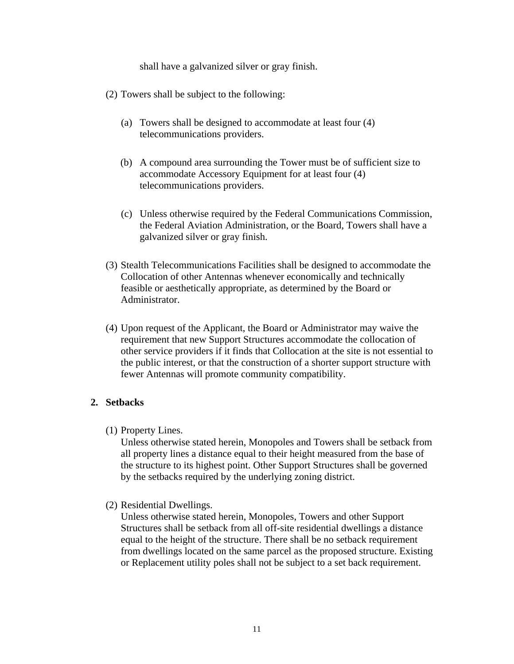shall have a galvanized silver or gray finish.

- (2) Towers shall be subject to the following:
	- (a) Towers shall be designed to accommodate at least four (4) telecommunications providers.
	- (b) A compound area surrounding the Tower must be of sufficient size to accommodate Accessory Equipment for at least four (4) telecommunications providers.
	- (c) Unless otherwise required by the Federal Communications Commission, the Federal Aviation Administration, or the Board, Towers shall have a galvanized silver or gray finish.
- (3) Stealth Telecommunications Facilities shall be designed to accommodate the Collocation of other Antennas whenever economically and technically feasible or aesthetically appropriate, as determined by the Board or Administrator.
- (4) Upon request of the Applicant, the Board or Administrator may waive the requirement that new Support Structures accommodate the collocation of other service providers if it finds that Collocation at the site is not essential to the public interest, or that the construction of a shorter support structure with fewer Antennas will promote community compatibility.

#### **2. Setbacks**

(1) Property Lines.

Unless otherwise stated herein, Monopoles and Towers shall be setback from all property lines a distance equal to their height measured from the base of the structure to its highest point. Other Support Structures shall be governed by the setbacks required by the underlying zoning district.

(2) Residential Dwellings.

Unless otherwise stated herein, Monopoles, Towers and other Support Structures shall be setback from all off-site residential dwellings a distance equal to the height of the structure. There shall be no setback requirement from dwellings located on the same parcel as the proposed structure. Existing or Replacement utility poles shall not be subject to a set back requirement.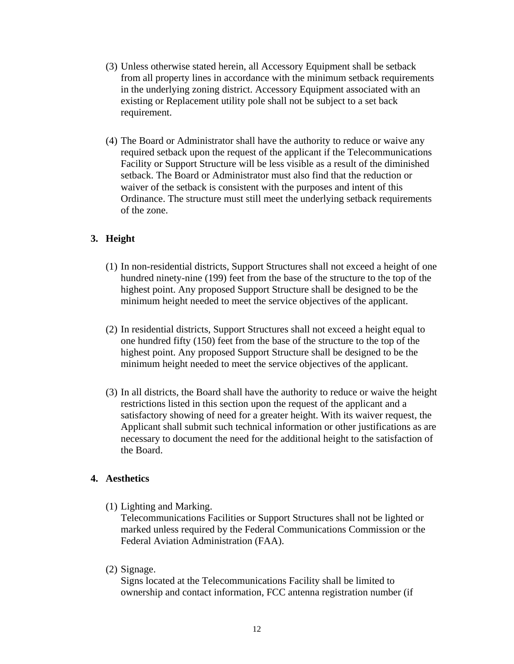- (3) Unless otherwise stated herein, all Accessory Equipment shall be setback from all property lines in accordance with the minimum setback requirements in the underlying zoning district. Accessory Equipment associated with an existing or Replacement utility pole shall not be subject to a set back requirement.
- (4) The Board or Administrator shall have the authority to reduce or waive any required setback upon the request of the applicant if the Telecommunications Facility or Support Structure will be less visible as a result of the diminished setback. The Board or Administrator must also find that the reduction or waiver of the setback is consistent with the purposes and intent of this Ordinance. The structure must still meet the underlying setback requirements of the zone.

## **3. Height**

- (1) In non-residential districts, Support Structures shall not exceed a height of one hundred ninety-nine (199) feet from the base of the structure to the top of the highest point. Any proposed Support Structure shall be designed to be the minimum height needed to meet the service objectives of the applicant.
- (2) In residential districts, Support Structures shall not exceed a height equal to one hundred fifty (150) feet from the base of the structure to the top of the highest point. Any proposed Support Structure shall be designed to be the minimum height needed to meet the service objectives of the applicant.
- (3) In all districts, the Board shall have the authority to reduce or waive the height restrictions listed in this section upon the request of the applicant and a satisfactory showing of need for a greater height. With its waiver request, the Applicant shall submit such technical information or other justifications as are necessary to document the need for the additional height to the satisfaction of the Board.

## **4. Aesthetics**

(1) Lighting and Marking.

Telecommunications Facilities or Support Structures shall not be lighted or marked unless required by the Federal Communications Commission or the Federal Aviation Administration (FAA).

(2) Signage.

Signs located at the Telecommunications Facility shall be limited to ownership and contact information, FCC antenna registration number (if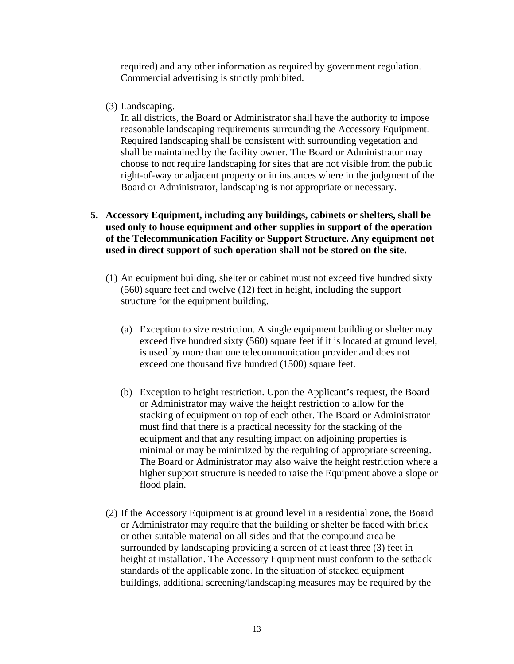required) and any other information as required by government regulation. Commercial advertising is strictly prohibited.

(3) Landscaping.

In all districts, the Board or Administrator shall have the authority to impose reasonable landscaping requirements surrounding the Accessory Equipment. Required landscaping shall be consistent with surrounding vegetation and shall be maintained by the facility owner. The Board or Administrator may choose to not require landscaping for sites that are not visible from the public right-of-way or adjacent property or in instances where in the judgment of the Board or Administrator, landscaping is not appropriate or necessary.

## **5. Accessory Equipment, including any buildings, cabinets or shelters, shall be used only to house equipment and other supplies in support of the operation of the Telecommunication Facility or Support Structure. Any equipment not used in direct support of such operation shall not be stored on the site.**

- (1) An equipment building, shelter or cabinet must not exceed five hundred sixty (560) square feet and twelve (12) feet in height, including the support structure for the equipment building.
	- (a) Exception to size restriction. A single equipment building or shelter may exceed five hundred sixty (560) square feet if it is located at ground level, is used by more than one telecommunication provider and does not exceed one thousand five hundred (1500) square feet.
	- (b) Exception to height restriction. Upon the Applicant's request, the Board or Administrator may waive the height restriction to allow for the stacking of equipment on top of each other. The Board or Administrator must find that there is a practical necessity for the stacking of the equipment and that any resulting impact on adjoining properties is minimal or may be minimized by the requiring of appropriate screening. The Board or Administrator may also waive the height restriction where a higher support structure is needed to raise the Equipment above a slope or flood plain.
- (2) If the Accessory Equipment is at ground level in a residential zone, the Board or Administrator may require that the building or shelter be faced with brick or other suitable material on all sides and that the compound area be surrounded by landscaping providing a screen of at least three (3) feet in height at installation. The Accessory Equipment must conform to the setback standards of the applicable zone. In the situation of stacked equipment buildings, additional screening/landscaping measures may be required by the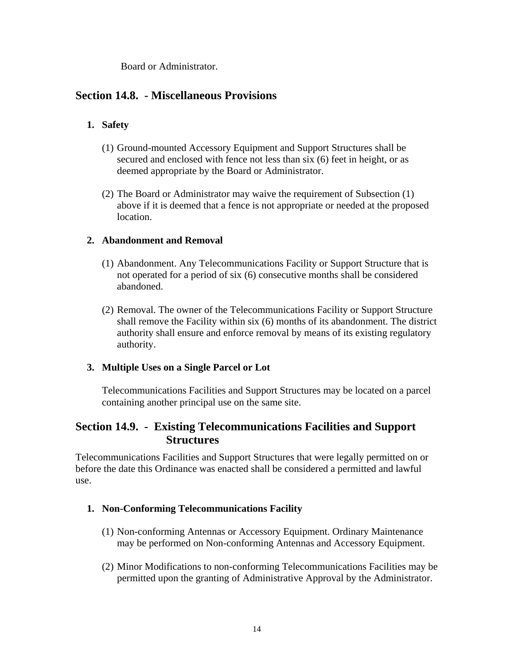Board or Administrator.

# **Section 14.8. - Miscellaneous Provisions**

## **1. Safety**

- (1) Ground-mounted Accessory Equipment and Support Structures shall be secured and enclosed with fence not less than six (6) feet in height, or as deemed appropriate by the Board or Administrator.
- (2) The Board or Administrator may waive the requirement of Subsection (1) above if it is deemed that a fence is not appropriate or needed at the proposed location.

## **2. Abandonment and Removal**

- (1) Abandonment. Any Telecommunications Facility or Support Structure that is not operated for a period of six (6) consecutive months shall be considered abandoned.
- (2) Removal. The owner of the Telecommunications Facility or Support Structure shall remove the Facility within six (6) months of its abandonment. The district authority shall ensure and enforce removal by means of its existing regulatory authority.

## **3. Multiple Uses on a Single Parcel or Lot**

Telecommunications Facilities and Support Structures may be located on a parcel containing another principal use on the same site.

# **Section 14.9. - Existing Telecommunications Facilities and Support Structures**

Telecommunications Facilities and Support Structures that were legally permitted on or before the date this Ordinance was enacted shall be considered a permitted and lawful use.

#### **1. Non-Conforming Telecommunications Facility**

- (1) Non-conforming Antennas or Accessory Equipment. Ordinary Maintenance may be performed on Non-conforming Antennas and Accessory Equipment.
- (2) Minor Modifications to non-conforming Telecommunications Facilities may be permitted upon the granting of Administrative Approval by the Administrator.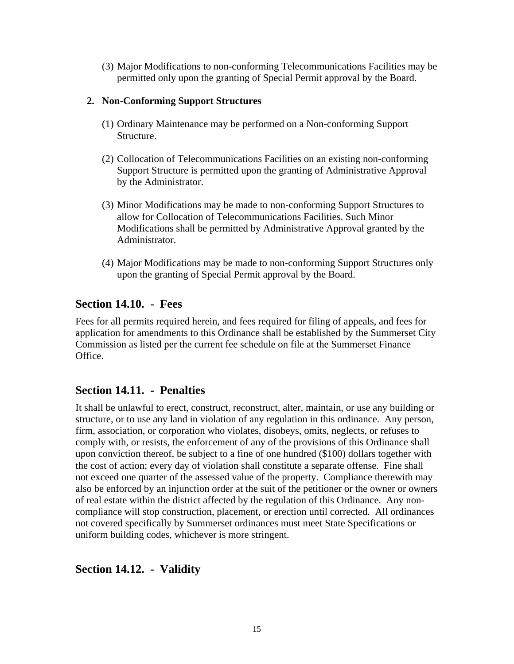(3) Major Modifications to non-conforming Telecommunications Facilities may be permitted only upon the granting of Special Permit approval by the Board.

## **2. Non-Conforming Support Structures**

- (1) Ordinary Maintenance may be performed on a Non-conforming Support Structure.
- (2) Collocation of Telecommunications Facilities on an existing non-conforming Support Structure is permitted upon the granting of Administrative Approval by the Administrator.
- (3) Minor Modifications may be made to non-conforming Support Structures to allow for Collocation of Telecommunications Facilities. Such Minor Modifications shall be permitted by Administrative Approval granted by the Administrator.
- (4) Major Modifications may be made to non-conforming Support Structures only upon the granting of Special Permit approval by the Board.

# **Section 14.10. - Fees**

Fees for all permits required herein, and fees required for filing of appeals, and fees for application for amendments to this Ordinance shall be established by the Summerset City Commission as listed per the current fee schedule on file at the Summerset Finance Office.

# **Section 14.11. - Penalties**

It shall be unlawful to erect, construct, reconstruct, alter, maintain, or use any building or structure, or to use any land in violation of any regulation in this ordinance. Any person, firm, association, or corporation who violates, disobeys, omits, neglects, or refuses to comply with, or resists, the enforcement of any of the provisions of this Ordinance shall upon conviction thereof, be subject to a fine of one hundred (\$100) dollars together with the cost of action; every day of violation shall constitute a separate offense. Fine shall not exceed one quarter of the assessed value of the property. Compliance therewith may also be enforced by an injunction order at the suit of the petitioner or the owner or owners of real estate within the district affected by the regulation of this Ordinance. Any noncompliance will stop construction, placement, or erection until corrected. All ordinances not covered specifically by Summerset ordinances must meet State Specifications or uniform building codes, whichever is more stringent.

# **Section 14.12. - Validity**